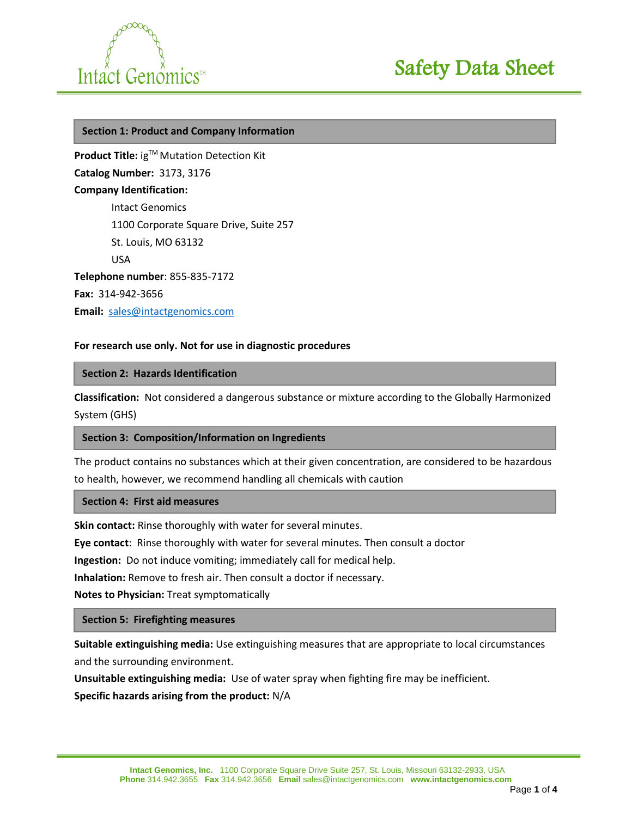



#### **Section 1: Product and Company Information**

**Product Title:** ig™ Mutation Detection Kit **Catalog Number:** 3173, 3176 **Company Identification:**  Intact Genomics 1100 Corporate Square Drive, Suite 257 St. Louis, MO 63132 USA **Telephone number**: 855-835-7172 **Fax:** 314-942-3656 **Email:** [sales@intactgenomics.com](mailto:sales@intactgenomics.com)

## **For research use only. Not for use in diagnostic procedures**

#### **Section 2: Hazards Identification**

**Classification:** Not considered a dangerous substance or mixture according to the Globally Harmonized System (GHS)

#### **Section 3: Composition/Information on Ingredients**

The product contains no substances which at their given concentration, are considered to be hazardous to health, however, we recommend handling all chemicals with caution

#### **Section 4: First aid measures**

**Skin contact:** Rinse thoroughly with water for several minutes.

**Eye contact**: Rinse thoroughly with water for several minutes. Then consult a doctor

**Ingestion:** Do not induce vomiting; immediately call for medical help.

**Inhalation:** Remove to fresh air. Then consult a doctor if necessary.

**Notes to Physician:** Treat symptomatically

#### **Section 5: Firefighting measures**

**Suitable extinguishing media:** Use extinguishing measures that are appropriate to local circumstances and the surrounding environment.

**Unsuitable extinguishing media:** Use of water spray when fighting fire may be inefficient. **Specific hazards arising from the product:** N/A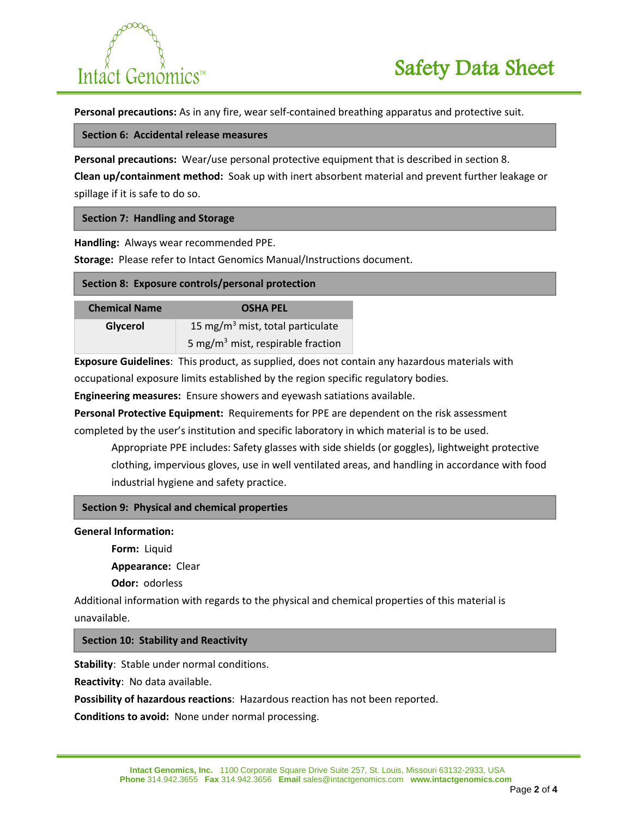# $\sim$ Intact Genomics™

**Personal precautions:** As in any fire, wear self-contained breathing apparatus and protective suit.

#### **Section 6: Accidental release measures**

**Personal precautions:** Wear/use personal protective equipment that is described in section 8.

**Clean up/containment method:** Soak up with inert absorbent material and prevent further leakage or spillage if it is safe to do so.

# **Section 7: Handling and Storage**

**Handling:** Always wear recommended PPE.

**Storage:** Please refer to Intact Genomics Manual/Instructions document.

## **Section 8: Exposure controls/personal protection**

| <b>Chemical Name</b> | <b>OSHA PEL</b>                               |
|----------------------|-----------------------------------------------|
| Glycerol             | 15 mg/m <sup>3</sup> mist, total particulate  |
|                      | 5 mg/m <sup>3</sup> mist, respirable fraction |

**Exposure Guidelines**: This product, as supplied, does not contain any hazardous materials with occupational exposure limits established by the region specific regulatory bodies.

**Engineering measures:** Ensure showers and eyewash satiations available.

**Personal Protective Equipment:** Requirements for PPE are dependent on the risk assessment completed by the user's institution and specific laboratory in which material is to be used.

Appropriate PPE includes: Safety glasses with side shields (or goggles), lightweight protective clothing, impervious gloves, use in well ventilated areas, and handling in accordance with food industrial hygiene and safety practice.

## **Section 9: Physical and chemical properties**

## **General Information:**

**Form:** Liquid

**Appearance:** Clear

**Odor:** odorless

Additional information with regards to the physical and chemical properties of this material is unavailable.

## **Section 10: Stability and Reactivity**

**Stability**: Stable under normal conditions.

**Reactivity**: No data available.

**Possibility of hazardous reactions**: Hazardous reaction has not been reported.

**Conditions to avoid:** None under normal processing.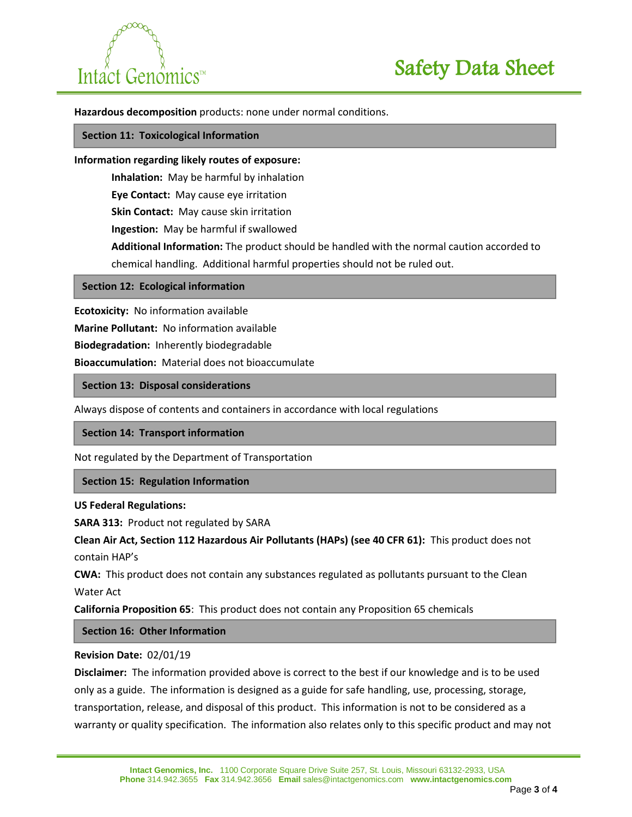

**Hazardous decomposition** products: none under normal conditions.

#### **Section 11: Toxicological Information**

#### **Information regarding likely routes of exposure:**

**Inhalation:** May be harmful by inhalation

**Eye Contact:** May cause eye irritation

**Skin Contact:** May cause skin irritation

**Ingestion:** May be harmful if swallowed

**Additional Information:** The product should be handled with the normal caution accorded to chemical handling. Additional harmful properties should not be ruled out.

#### **Section 12: Ecological information**

**Ecotoxicity:** No information available

**Marine Pollutant:** No information available

**Biodegradation:** Inherently biodegradable

**Bioaccumulation:** Material does not bioaccumulate

# **Section 13: Disposal considerations**

Always dispose of contents and containers in accordance with local regulations

#### **Section 14: Transport information**

Not regulated by the Department of Transportation

## **Section 15: Regulation Information**

#### **US Federal Regulations:**

**SARA 313:** Product not regulated by SARA

**Clean Air Act, Section 112 Hazardous Air Pollutants (HAPs) (see 40 CFR 61):** This product does not contain HAP's

**CWA:** This product does not contain any substances regulated as pollutants pursuant to the Clean Water Act

**California Proposition 65**: This product does not contain any Proposition 65 chemicals

# **Section 16: Other Information**

## **Revision Date:** 02/01/19

**Disclaimer:** The information provided above is correct to the best if our knowledge and is to be used only as a guide. The information is designed as a guide for safe handling, use, processing, storage, transportation, release, and disposal of this product. This information is not to be considered as a warranty or quality specification. The information also relates only to this specific product and may not